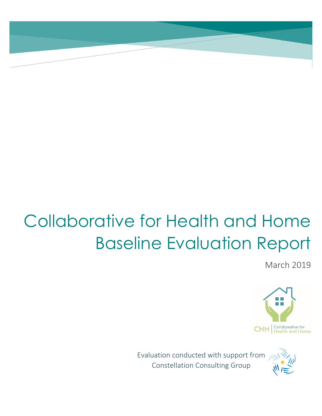# Collaborative for Health and Home Baseline Evaluation Report

March 2019



Evaluation conducted with support from Constellation Consulting Group

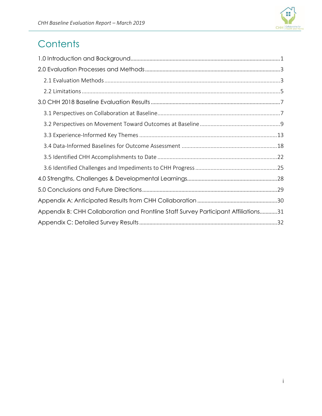

# **Contents**

| Appendix B: CHH Collaboration and Frontline Staff Survey Participant Affiliations31 |  |
|-------------------------------------------------------------------------------------|--|
|                                                                                     |  |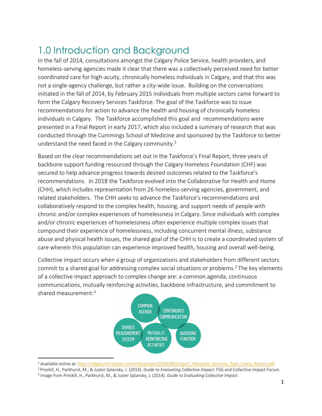# <span id="page-2-0"></span>1.0 Introduction and Background

In the fall of 2014, consultations amongst the Calgary Police Service, health providers, and homeless-serving agencies made it clear that there was a collectively perceived need for better coordinated care for high-acuity, chronically homeless individuals in Calgary, and that this was not a single-agency challenge, but rather a city-wide issue. Building on the conversations initiated in the fall of 2014, by February 2015 individuals from multiple sectors came forward to form the Calgary Recovery Services Taskforce. The goal of the Taskforce was to issue recommendations for action to advance the health and housing of chronically homeless individuals in Calgary. The Taskforce accomplished this goal and recommendations were presented in a Final Report in early 2017, which also included a summary of research that was conducted through the Cummings School of Medicine and sponsored by the Taskforce to better understand the need faced in the Calgary community.<sup>1</sup>

Based on the clear recommendations set out in the Taskforce's Final Report, three years of backbone support funding resourced through the Calgary Homeless Foundation (CHF) was secured to help advance progress towards desired outcomes related to the Taskforce's recommendations. In 2018 the Taskforce evolved into the Collaborative for Health and Home (CHH), which includes representation from 26 homeless-serving agencies, government, and related stakeholders. The CHH seeks to advance the Taskforce's recommendations and collaboratively respond to the complex health, housing, and support needs of people with chronic and/or complex experiences of homelessness in Calgary. Since individuals with complex and/or chronic experiences of homelessness often experience multiple complex issues that compound their experience of homelessness, including concurrent mental illness, substance abuse and physical health issues, the shared goal of the CHH is to create a coordinated system of care wherein this population can experience improved health, housing and overall well-being.

Collective impact occurs when a group of organizations and stakeholders from different sectors commit to a shared goal for addressing complex social situations or problems.<sup>2</sup> The key elements of a collective impact approach to complex change are: a common agenda, continuous communications, mutually reinforcing activities, backbone infrastructure, and commitment to shared measurement:<sup>3</sup>



<sup>1</sup> Available online at: [http://calgarychh.ca/wp-content/uploads/2018/09/Calgary\\_Recovery\\_Services\\_Task\\_Force\\_Report.pdf](http://calgarychh.ca/wp-content/uploads/2018/09/Calgary_Recovery_Services_Task_Force_Report.pdf)

 $\overline{\phantom{a}}$ 

<sup>2</sup> Preskill, H., Parkhurst, M., & Juster Splansky, J. (2014). *Guide to Evaluating Collective Impact.* FSG and Collective Impact Forum.

<sup>3</sup> Image from Preskill, H., Parkhurst, M., & Juster Splansky, J. (2014). *Guide to Evaluating Collective Impact.*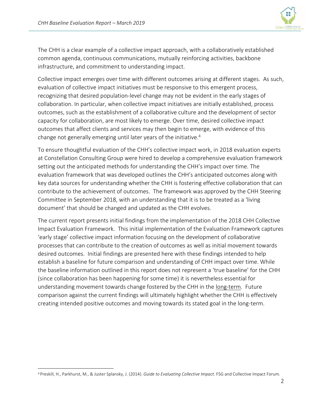$\overline{a}$ 



The CHH is a clear example of a collective impact approach, with a collaboratively established common agenda, continuous communications, mutually reinforcing activities, backbone infrastructure, and commitment to understanding impact.

Collective impact emerges over time with different outcomes arising at different stages. As such, evaluation of collective impact initiatives must be responsive to this emergent process, recognizing that desired population-level change may not be evident in the early stages of collaboration. In particular, when collective impact initiatives are initially established, process outcomes, such as the establishment of a collaborative culture and the development of sector capacity for collaboration, are most likely to emerge. Over time, desired collective impact outcomes that affect clients and services may then begin to emerge, with evidence of this change not generally emerging until later years of the initiative.<sup>4</sup>

To ensure thoughtful evaluation of the CHH's collective impact work, in 2018 evaluation experts at Constellation Consulting Group were hired to develop a comprehensive evaluation framework setting out the anticipated methods for understanding the CHH's impact over time. The evaluation framework that was developed outlines the CHH's anticipated outcomes along with key data sources for understanding whether the CHH is fostering effective collaboration that can contribute to the achievement of outcomes. The framework was approved by the CHH Steering Committee in September 2018, with an understanding that it is to be treated as a 'living document' that should be changed and updated as the CHH evolves.

The current report presents initial findings from the implementation of the 2018 CHH Collective Impact Evaluation Framework. This initial implementation of the Evaluation Framework captures 'early stage' collective impact information focusing on the development of collaborative processes that can contribute to the creation of outcomes as well as initial movement towards desired outcomes. Initial findings are presented here with these findings intended to help establish a baseline for future comparison and understanding of CHH impact over time. While the baseline information outlined in this report does not represent a 'true baseline' for the CHH (since collaboration has been happening for some time) it is nevertheless essential for understanding movement towards change fostered by the CHH in the long-term. Future comparison against the current findings will ultimately highlight whether the CHH is effectively creating intended positive outcomes and moving towards its stated goal in the long-term.

<sup>4</sup> Preskill, H., Parkhurst, M., & Juster Splansky, J. (2014). *Guide to Evaluating Collective Impact.* FSG and Collective Impact Forum.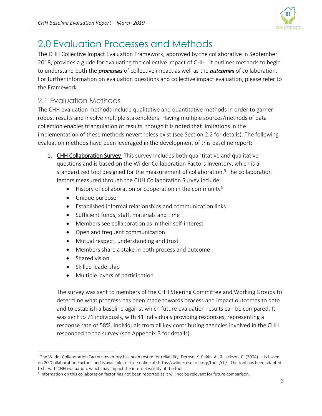

# <span id="page-4-0"></span>2.0 Evaluation Processes and Methods

The CHH Collective Impact Evaluation Framework, approved by the collaborative in September 2018, provides a guide for evaluating the collective impact of CHH. It outlines methods to begin to understand both the *processes* of collective impact as well as the *outcomes* of collaboration. For further information on evaluation questions and collective impact evaluation, please refer to the Framework.

# <span id="page-4-1"></span>2.1 Evaluation Methods

The CHH evaluation methods include qualitative and quantitative methods in order to garner robust results and involve multiple stakeholders. Having multiple sources/methods of data collection enables triangulation of results, though it is noted that limitations in the implementation of these methods nevertheless exist (see Section 2.2 for details). The following evaluation methods have been leveraged in the development of this baseline report:

- 1. CHH Collaboration Survey This survey includes both quantitative and qualitative questions and is based on the Wilder Collaboration Factors Inventory, which is a standardized tool designed for the measurement of collaboration.<sup>5</sup> The collaboration factors measured through the CHH Collaboration Survey include:
	- $\bullet$  History of collaboration or cooperation in the community<sup>6</sup>
	- Unique purpose
	- Established informal relationships and communication links
	- Sufficient funds, staff, materials and time
	- Members see collaboration as in their self-interest
	- Open and frequent communication
	- Mutual respect, understanding and trust
	- Members share a stake in both process and outcome
	- Shared vision

l

- Skilled leadership
- Multiple layers of participation

The survey was sent to members of the CHH Steering Committee and Working Groups to determine what progress has been made towards process and impact outcomes to date and to establish a baseline against which future evaluation results can be compared. It was sent to 71 individuals, with 41 individuals providing responses, representing a response rate of 58%. Individuals from all key contributing agencies involved in the CHH responded to the survey (see Appendix B for details).

<sup>5</sup> The Wilder Collaboration Factors Inventory has been tested for reliability: Derose, K. Pitkin, A., & Jackson, C. (2004). It is based on 20 'Collaboration Factors' and is available for free online at: [https://wilderresearch.org/tools/cfi/.](https://wilderresearch.org/tools/cfi/) The tool has been adapted to fit with CHH evaluation, which may impact the internal validity of the tool.

<sup>6</sup> Information on this collaboration factor has not been reported as it will not be relevant for future comparison.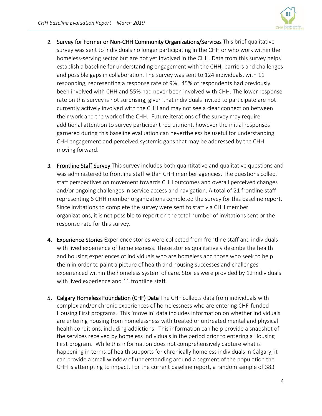

- 2. Survey for Former or Non-CHH Community Organizations/Services This brief qualitative survey was sent to individuals no longer participating in the CHH or who work within the homeless-serving sector but are not yet involved in the CHH. Data from this survey helps establish a baseline for understanding engagement with the CHH, barriers and challenges and possible gaps in collaboration. The survey was sent to 124 individuals, with 11 responding, representing a response rate of 9%. 45% of respondents had previously been involved with CHH and 55% had never been involved with CHH. The lower response rate on this survey is not surprising, given that individuals invited to participate are not currently actively involved with the CHH and may not see a clear connection between their work and the work of the CHH. Future iterations of the survey may require additional attention to survey participant recruitment, however the initial responses garnered during this baseline evaluation can nevertheless be useful for understanding CHH engagement and perceived systemic gaps that may be addressed by the CHH moving forward.
- 3. Frontline Staff Survey This survey includes both quantitative and qualitative questions and was administered to frontline staff within CHH member agencies. The questions collect staff perspectives on movement towards CHH outcomes and overall perceived changes and/or ongoing challenges in service access and navigation. A total of 21 frontline staff representing 6 CHH member organizations completed the survey for this baseline report. Since invitations to complete the survey were sent to staff via CHH member organizations, it is not possible to report on the total number of invitations sent or the response rate for this survey.
- 4. Experience Stories Experience stories were collected from frontline staff and individuals with lived experience of homelessness. These stories qualitatively describe the health and housing experiences of individuals who are homeless and those who seek to help them in order to paint a picture of health and housing successes and challenges experienced within the homeless system of care. Stories were provided by 12 individuals with lived experience and 11 frontline staff.
- 5. Calgary Homeless Foundation (CHF) Data The CHF collects data from individuals with complex and/or chronic experiences of homelessness who are entering CHF-funded Housing First programs. This 'move in' data includes information on whether individuals are entering housing from homelessness with treated or untreated mental and physical health conditions, including addictions. This information can help provide a snapshot of the services received by homeless individuals in the period prior to entering a Housing First program. While this information does not comprehensively capture what is happening in terms of health supports for chronically homeless individuals in Calgary, it can provide a small window of understanding around a segment of the population the CHH is attempting to impact. For the current baseline report, a random sample of 383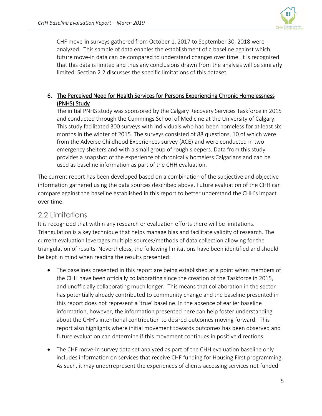

CHF move-in surveys gathered from October 1, 2017 to September 30, 2018 were analyzed. This sample of data enables the establishment of a baseline against which future move-in data can be compared to understand changes over time. It is recognized that this data is limited and thus any conclusions drawn from the analysis will be similarly limited. Section 2.2 discusses the specific limitations of this dataset.

### 6. The Perceived Need for Health Services for Persons Experiencing Chronic Homelessness (PNHS) Study

The initial PNHS study was sponsored by the Calgary Recovery Services Taskforce in 2015 and conducted through the Cummings School of Medicine at the University of Calgary. This study facilitated 300 surveys with individuals who had been homeless for at least six months in the winter of 2015. The surveys consisted of 88 questions, 10 of which were from the Adverse Childhood Experiences survey (ACE) and were conducted in two emergency shelters and with a small group of rough sleepers. Data from this study provides a snapshot of the experience of chronically homeless Calgarians and can be used as baseline information as part of the CHH evaluation.

The current report has been developed based on a combination of the subjective and objective information gathered using the data sources described above. Future evaluation of the CHH can compare against the baseline established in this report to better understand the CHH's impact over time.

# <span id="page-6-0"></span>2.2 Limitations

It is recognized that within any research or evaluation efforts there will be limitations. Triangulation is a key technique that helps manage bias and facilitate validity of research. The current evaluation leverages multiple sources/methods of data collection allowing for the triangulation of results. Nevertheless, the following limitations have been identified and should be kept in mind when reading the results presented:

- The baselines presented in this report are being established at a point when members of the CHH have been officially collaborating since the creation of the Taskforce in 2015, and unofficially collaborating much longer. This means that collaboration in the sector has potentially already contributed to community change and the baseline presented in this report does not represent a 'true' baseline. In the absence of earlier baseline information, however, the information presented here can help foster understanding about the CHH's intentional contribution to desired outcomes moving forward. This report also highlights where initial movement towards outcomes has been observed and future evaluation can determine if this movement continues in positive directions.
- The CHF move-in survey data set analyzed as part of the CHH evaluation baseline only includes information on services that receive CHF funding for Housing First programming. As such, it may underrepresent the experiences of clients accessing services not funded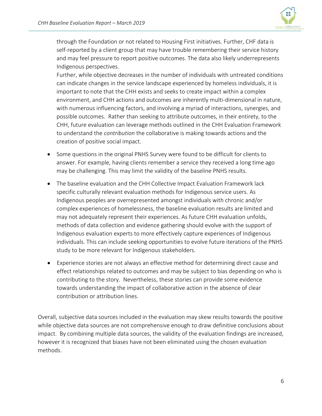

through the Foundation or not related to Housing First initiatives. Further, CHF data is self-reported by a client group that may have trouble remembering their service history and may feel pressure to report positive outcomes. The data also likely underrepresents Indigenous perspectives.

Further, while objective decreases in the number of individuals with untreated conditions can indicate changes in the service landscape experienced by homeless individuals, it is important to note that the CHH exists and seeks to create impact within a complex environment, and CHH actions and outcomes are inherently multi-dimensional in nature, with numerous influencing factors, and involving a myriad of interactions, synergies, and possible outcomes. Rather than seeking to attribute outcomes, in their entirety, to the CHH, future evaluation can leverage methods outlined in the CHH Evaluation Framework to understand the *contribution* the collaborative is making towards actions and the creation of positive social impact.

- Some questions in the original PNHS Survey were found to be difficult for clients to answer. For example, having clients remember a service they received a long time ago may be challenging. This may limit the validity of the baseline PNHS results.
- The baseline evaluation and the CHH Collective Impact Evaluation Framework lack specific culturally relevant evaluation methods for Indigenous service users. As Indigenous peoples are overrepresented amongst individuals with chronic and/or complex experiences of homelessness, the baseline evaluation results are limited and may not adequately represent their experiences. As future CHH evaluation unfolds, methods of data collection and evidence gathering should evolve with the support of Indigenous evaluation experts to more effectively capture experiences of Indigenous individuals. This can include seeking opportunities to evolve future iterations of the PNHS study to be more relevant for Indigenous stakeholders.
- Experience stories are not always an effective method for determining direct cause and effect relationships related to outcomes and may be subject to bias depending on who is contributing to the story. Nevertheless, these stories can provide some evidence towards understanding the impact of collaborative action in the absence of clear contribution or attribution lines.

Overall, subjective data sources included in the evaluation may skew results towards the positive while objective data sources are not comprehensive enough to draw definitive conclusions about impact. By combining multiple data sources, the validity of the evaluation findings are increased, however it is recognized that biases have not been eliminated using the chosen evaluation methods.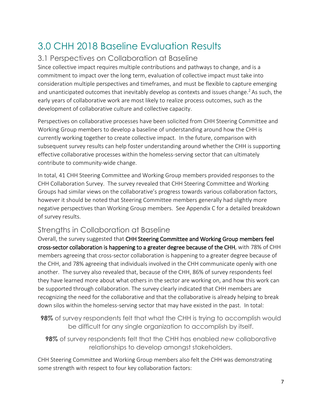# <span id="page-8-0"></span>3.0 CHH 2018 Baseline Evaluation Results

## <span id="page-8-1"></span>3.1 Perspectives on Collaboration at Baseline

Since collective impact requires multiple contributions and pathways to change, and is a commitment to impact over the long term, evaluation of collective impact must take into consideration multiple perspectives and timeframes, and must be flexible to capture emerging and unanticipated outcomes that inevitably develop as contexts and issues change.<sup>2</sup> As such, the early years of collaborative work are most likely to realize process outcomes, such as the development of collaborative culture and collective capacity.

Perspectives on collaborative processes have been solicited from CHH Steering Committee and Working Group members to develop a baseline of understanding around how the CHH is currently working together to create collective impact. In the future, comparison with subsequent survey results can help foster understanding around whether the CHH is supporting effective collaborative processes within the homeless-serving sector that can ultimately contribute to community-wide change.

In total, 41 CHH Steering Committee and Working Group members provided responses to the CHH Collaboration Survey. The survey revealed that CHH Steering Committee and Working Groups had similar views on the collaborative's progress towards various collaboration factors, however it should be noted that Steering Committee members generally had slightly more negative perspectives than Working Group members. See Appendix C for a detailed breakdown of survey results.

# Strengths in Collaboration at Baseline

Overall, the survey suggested that CHH Steering Committee and Working Group members feel cross-sector collaboration is happening to a greater degree because of the CHH, with 78% of CHH members agreeing that cross-sector collaboration is happening to a greater degree because of the CHH, and 78% agreeing that individuals involved in the CHH communicate openly with one another. The survey also revealed that, because of the CHH, 86% of survey respondents feel they have learned more about what others in the sector are working on, and how this work can be supported through collaboration. The survey clearly indicated that CHH members are recognizing the need for the collaborative and that the collaborative is already helping to break down silos within the homeless-serving sector that may have existed in the past. In total:

**98%** of survey respondents felt that what the CHH is trying to accomplish would be difficult for any single organization to accomplish by itself.

**98%** of survey respondents felt that the CHH has enabled *new* collaborative relationships to develop amongst stakeholders.

CHH Steering Committee and Working Group members also felt the CHH was demonstrating some strength with respect to four key collaboration factors: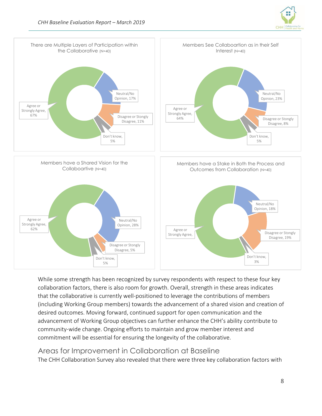



While some strength has been recognized by survey respondents with respect to these four key collaboration factors, there is also room for growth. Overall, strength in these areas indicates that the collaborative is currently well-positioned to leverage the contributions of members (including Working Group members) towards the advancement of a shared vision and creation of desired outcomes. Moving forward, continued support for open communication and the advancement of Working Group objectives can further enhance the CHH's ability contribute to community-wide change. Ongoing efforts to maintain and grow member interest and commitment will be essential for ensuring the longevity of the collaborative.

### Areas for Improvement in Collaboration at Baseline

The CHH Collaboration Survey also revealed that there were three key collaboration factors with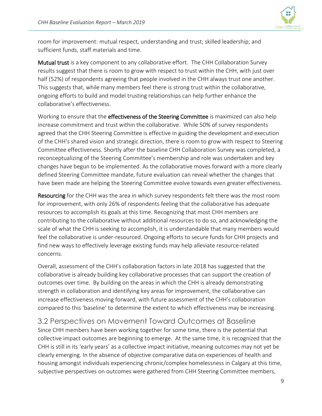

room for improvement: mutual respect, understanding and trust; skilled leadership; and sufficient funds, staff materials and time.

Mutual trust is a key component to any collaborative effort. The CHH Collaboration Survey results suggest that there is room to grow with respect to trust within the CHH, with just over half (52%) of respondents agreeing that people involved in the CHH always trust one another. This suggests that, while many members feel there is strong trust within the collaborative, ongoing efforts to build and model trusting relationships can help further enhance the collaborative's effectiveness.

Working to ensure that the effectiveness of the Steering Committee is maximized can also help increase commitment and trust within the collaborative. While 50% of survey respondents agreed that the CHH Steering Committee is effective in guiding the development and execution of the CHH's shared vision and strategic direction, there is room to grow with respect to Steering Committee effectiveness. Shortly after the baseline CHH Collaboration Survey was completed, a reconceptualizing of the Steering Committee's membership and role was undertaken and key changes have begun to be implemented. As the collaborative moves forward with a more clearly defined Steering Committee mandate, future evaluation can reveal whether the changes that have been made are helping the Steering Committee evolve towards even greater effectiveness.

Resourcing for the CHH was the area in which survey respondents felt there was the most room for improvement, with only 26% of respondents feeling that the collaborative has adequate resources to accomplish its goals at this time. Recognizing that most CHH members are contributing to the collaborative without additional resources to do so, and acknowledging the scale of what the CHH is seeking to accomplish, it is understandable that many members would feel the collaborative is under-resourced. Ongoing efforts to secure funds for CHH projects and find new ways to effectively leverage existing funds may help alleviate resource-related concerns.

Overall, assessment of the CHH's collaboration factors in late 2018 has suggested that the collaborative is already building key collaborative processes that can support the creation of outcomes over time. By building on the areas in which the CHH is already demonstrating strength in collaboration and identifying key areas for improvement, the collaborative can increase effectiveness moving forward, with future assessment of the CHH's collaboration compared to this 'baseline' to determine the extent to which effectiveness may be increasing.

<span id="page-10-0"></span>3.2 Perspectives on Movement Toward Outcomes at Baseline Since CHH members have been working together for some time, there is the potential that collective impact outcomes are beginning to emerge. At the same time, it is recognized that the CHH is still in its 'early years' as a collective impact initiative, meaning outcomes may not yet be clearly emerging. In the absence of objective comparative data on experiences of health and housing amongst individuals experiencing chronic/complex homelessness in Calgary at this time, subjective perspectives on outcomes were gathered from CHH Steering Committee members,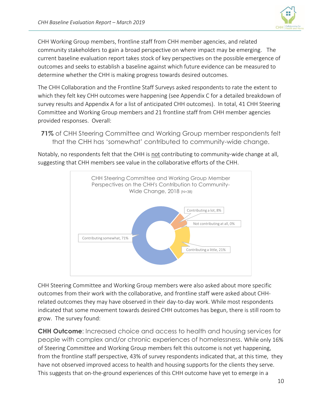

CHH Working Group members, frontline staff from CHH member agencies, and related community stakeholders to gain a broad perspective on where impact may be emerging. The current baseline evaluation report takes stock of key perspectives on the possible emergence of outcomes and seeks to establish a baseline against which future evidence can be measured to determine whether the CHH is making progress towards desired outcomes.

The CHH Collaboration and the Frontline Staff Surveys asked respondents to rate the extent to which they felt key CHH outcomes were happening (see Appendix C for a detailed breakdown of survey results and Appendix A for a list of anticipated CHH outcomes). In total, 41 CHH Steering Committee and Working Group members and 21 frontline staff from CHH member agencies provided responses. Overall:

**71%** of CHH Steering Committee and Working Group member respondents felt that the CHH has 'somewhat' contributed to community-wide change.

Notably, no respondents felt that the CHH is not contributing to community-wide change at all, suggesting that CHH members see value in the collaborative efforts of the CHH.



CHH Steering Committee and Working Group members were also asked about more specific outcomes from their work with the collaborative, and frontline staff were asked about CHHrelated outcomes they may have observed in their day-to-day work. While most respondents indicated that some movement towards desired CHH outcomes has begun, there is still room to grow. The survey found:

**CHH Outcome**: Increased choice and access to health and housing services for people with complex and/or chronic experiences of homelessness. While only 16% of Steering Committee and Working Group members felt this outcome is not yet happening, from the frontline staff perspective, 43% of survey respondents indicated that, at this time, they have not observed improved access to health and housing supports for the clients they serve. This suggests that on-the-ground experiences of this CHH outcome have yet to emerge in a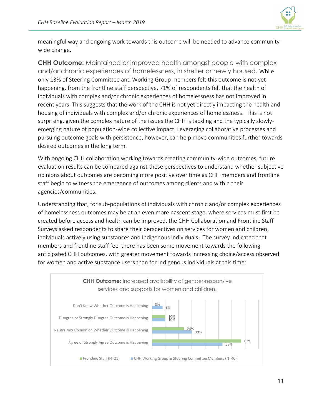

meaningful way and ongoing work towards this outcome will be needed to advance communitywide change.

**CHH Outcome:** Maintained or improved health amongst people with complex and/or chronic experiences of homelessness, in shelter or newly housed. While only 13% of Steering Committee and Working Group members felt this outcome is not yet happening, from the frontline staff perspective, 71% of respondents felt that the health of individuals with complex and/or chronic experiences of homelessness has not improved in recent years. This suggests that the work of the CHH is not yet directly impacting the health and housing of individuals with complex and/or chronic experiences of homelessness. This is not surprising, given the complex nature of the issues the CHH is tackling and the typically slowlyemerging nature of population-wide collective impact. Leveraging collaborative processes and pursuing outcome goals with persistence, however, can help move communities further towards desired outcomes in the long term.

With ongoing CHH collaboration working towards creating community-wide outcomes, future evaluation results can be compared against these perspectives to understand whether subjective opinions about outcomes are becoming more positive over time as CHH members and frontline staff begin to witness the emergence of outcomes among clients and within their agencies/communities.

Understanding that, for sub-populations of individuals with chronic and/or complex experiences of homelessness outcomes may be at an even more nascent stage, where services must first be created before access and health can be improved, the CHH Collaboration and Frontline Staff Surveys asked respondents to share their perspectives on services for women and children, individuals actively using substances and Indigenous individuals. The survey indicated that members and frontline staff feel there has been some movement towards the following anticipated CHH outcomes, with greater movement towards increasing choice/access observed for women and active substance users than for Indigenous individuals at this time:

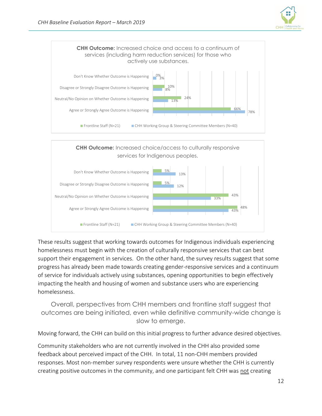



These results suggest that working towards outcomes for Indigenous individuals experiencing homelessness must begin with the creation of culturally responsive services that can best support their engagement in services. On the other hand, the survey results suggest that some progress has already been made towards creating gender-responsive services and a continuum of service for individuals actively using substances, opening opportunities to begin effectively impacting the health and housing of women and substance users who are experiencing homelessness.

Overall, perspectives from CHH members and frontline staff suggest that outcomes are being initiated, even while definitive community-wide change is slow to emerge.

Moving forward, the CHH can build on this initial progress to further advance desired objectives.

Community stakeholders who are not currently involved in the CHH also provided some feedback about perceived impact of the CHH. In total, 11 non-CHH members provided responses. Most non-member survey respondents were unsure whether the CHH is currently creating positive outcomes in the community, and one participant felt CHH was not creating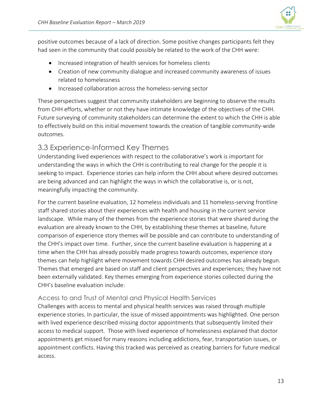

positive outcomes because of a lack of direction. Some positive changes participants felt they had seen in the community that could possibly be related to the work of the CHH were:

- Increased integration of health services for homeless clients
- Creation of new community dialogue and increased community awareness of issues related to homelessness
- Increased collaboration across the homeless-serving sector

These perspectives suggest that community stakeholders are beginning to observe the results from CHH efforts, whether or not they have intimate knowledge of the objectives of the CHH. Future surveying of community stakeholders can determine the extent to which the CHH is able to effectively build on this initial movement towards the creation of tangible community-wide outcomes.

### <span id="page-14-0"></span>3.3 Experience-Informed Key Themes

Understanding lived experiences with respect to the collaborative's work is important for understanding the ways in which the CHH is contributing to real change for the people it is seeking to impact. Experience stories can help inform the CHH about where desired outcomes are being advanced and can highlight the ways in which the collaborative is, or is not, meaningfully impacting the community.

For the current baseline evaluation, 12 homeless individuals and 11 homeless-serving frontline staff shared stories about their experiences with health and housing in the current service landscape. While many of the themes from the experience stories that were shared during the evaluation are already known to the CHH, by establishing these themes at baseline, future comparison of experience story themes will be possible and can contribute to understanding of the CHH's impact over time. Further, since the current baseline evaluation is happening at a time when the CHH has already possibly made progress towards outcomes, experience story themes can help highlight where movement towards CHH desired outcomes has already begun. Themes that emerged are based on staff and client perspectives and experiences; they have not been externally validated. Key themes emerging from experience stories collected during the CHH's baseline evaluation include:

### Access to and Trust of Mental and Physical Health Services

Challenges with access to mental and physical health services was raised through multiple experience stories. In particular, the issue of missed appointments was highlighted. One person with lived experience described missing doctor appointments that subsequently limited their access to medical support. Those with lived experience of homelessness explained that doctor appointments get missed for many reasons including addictions, fear, transportation issues, or appointment conflicts. Having this tracked was perceived as creating barriers for future medical access.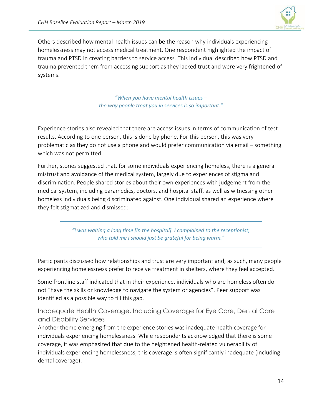

Others described how mental health issues can be the reason why individuals experiencing homelessness may not access medical treatment. One respondent highlighted the impact of trauma and PTSD in creating barriers to service access. This individual described how PTSD and trauma prevented them from accessing support as they lacked trust and were very frightened of systems.

> *"When you have mental health issues – the way people treat you in services is so important."*

Experience stories also revealed that there are access issues in terms of communication of test results. According to one person, this is done by phone. For this person, this was very problematic as they do not use a phone and would prefer communication via email – something which was not permitted.

Further, stories suggested that, for some individuals experiencing homeless, there is a general mistrust and avoidance of the medical system, largely due to experiences of stigma and discrimination. People shared stories about their own experiences with judgement from the medical system, including paramedics, doctors, and hospital staff, as well as witnessing other homeless individuals being discriminated against. One individual shared an experience where they felt stigmatized and dismissed:

> *"I was waiting a long time [in the hospital]. I complained to the receptionist, who told me I should just be grateful for being warm."*

Participants discussed how relationships and trust are very important and, as such, many people experiencing homelessness prefer to receive treatment in shelters, where they feel accepted.

Some frontline staff indicated that in their experience, individuals who are homeless often do not "have the skills or knowledge to navigate the system or agencies". Peer support was identified as a possible way to fill this gap.

Inadequate Health Coverage, Including Coverage for Eye Care, Dental Care and Disability Services

Another theme emerging from the experience stories was inadequate health coverage for individuals experiencing homelessness. While respondents acknowledged that there is some coverage, it was emphasized that due to the heightened health-related vulnerability of individuals experiencing homelessness, this coverage is often significantly inadequate (including dental coverage):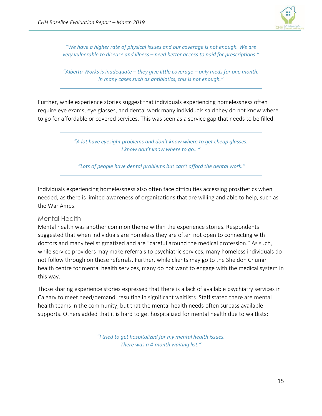

*"We have a higher rate of physical issues and our coverage is not enough. We are very vulnerable to disease and illness – need better access to paid for prescriptions."*

*"Alberta Works is inadequate – they give little coverage – only meds for one month. In many cases such as antibiotics, this is not enough."*

Further, while experience stories suggest that individuals experiencing homelessness often require eye exams, eye glasses, and dental work many individuals said they do not know where to go for affordable or covered services. This was seen as a service gap that needs to be filled.

> *"A lot have eyesight problems and don't know where to get cheap glasses. I know don't know where to go…"*

*"Lots of people have dental problems but can't afford the dental work."*

Individuals experiencing homelessness also often face difficulties accessing prosthetics when needed, as there is limited awareness of organizations that are willing and able to help, such as the War Amps.

### Mental Health

Mental health was another common theme within the experience stories. Respondents suggested that when individuals are homeless they are often not open to connecting with doctors and many feel stigmatized and are "careful around the medical profession." As such, while service providers may make referrals to psychiatric services, many homeless individuals do not follow through on those referrals. Further, while clients may go to the Sheldon Chumir health centre for mental health services, many do not want to engage with the medical system in this way.

Those sharing experience stories expressed that there is a lack of available psychiatry services in Calgary to meet need/demand, resulting in significant waitlists. Staff stated there are mental health teams in the community, but that the mental health needs often surpass available supports. Others added that it is hard to get hospitalized for mental health due to waitlists:

> *"I tried to get hospitalized for my mental health issues. There was a 4-month waiting list."*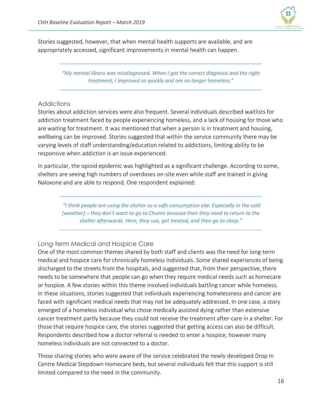

Stories suggested, however, that when mental health supports are available, and are appropriately accessed, significant improvements in mental health can happen.

> *"My mental illness was misdiagnosed. When I got the correct diagnosis and the right treatment, I improved so quickly and am no longer homeless."*

### **Addictions**

Stories about addiction services were also frequent. Several individuals described waitlists for addiction treatment faced by people experiencing homeless, and a lack of housing for those who are waiting for treatment. It was mentioned that when a person is in treatment and housing, wellbeing can be improved. Stories suggested that within the service community there may be varying levels of staff understanding/education related to addictions, limiting ability to be responsive when addiction is an issue experienced.

In particular, the opioid epidemic was highlighted as a significant challenge. According to some, shelters are seeing high numbers of overdoses on-site even while staff are trained in giving Naloxone and are able to respond. One respondent explained:

*"I think people are using the shelter as a safe consumption site. Especially in the cold [weather] – they don't want to go to Chumir because then they need to return to the shelter afterwards. Here, they use, get treated, and then go to sleep."*

### Long-term Medical and Hospice Care

One of the most common themes shared by both staff and clients was the need for long-term medical and hospice care for chronically homeless individuals. Some shared experiences of being discharged to the streets from the hospitals, and suggested that, from their perspective, there needs to be somewhere that people can go when they require medical needs such as homecare or hospice. A few stories within this theme involved individuals battling cancer while homeless. In these situations, stories suggested that individuals experiencing homelessness and cancer are faced with significant medical needs that may not be adequately addressed. In one case, a story emerged of a homeless individual who chose medically assisted dying rather than extensive cancer treatment partly because they could not receive the treatment after-care in a shelter. For those that require hospice care, the stories suggested that getting access can also be difficult. Respondents described how a doctor referral is needed to enter a hospice, however many homeless individuals are not connected to a doctor.

Those sharing stories who were aware of the service celebrated the newly developed Drop In Centre Medical Stepdown Homecare beds, but several individuals felt that this support is still limited compared to the need in the community.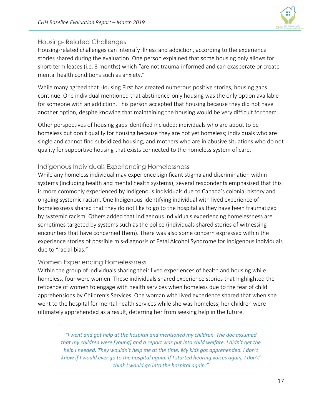

### Housing- Related Challenges

Housing-related challenges can intensify illness and addiction, according to the experience stories shared during the evaluation. One person explained that some housing only allows for short-term leases (i.e. 3 months) which "are not trauma-informed and can exasperate or create mental health conditions such as anxiety."

While many agreed that Housing First has created numerous positive stories, housing gaps continue. One individual mentioned that abstinence-only housing was the only option available for someone with an addiction. This person accepted that housing because they did not have another option, despite knowing that maintaining the housing would be very difficult for them.

Other perspectives of housing gaps identified included: individuals who are about to be homeless but don't qualify for housing because they are not yet homeless; individuals who are single and cannot find subsidized housing; and mothers who are in abusive situations who do not quality for supportive housing that exists connected to the homeless system of care.

### Indigenous Individuals Experiencing Homelessness

While any homeless individual may experience significant stigma and discrimination within systems (including health and mental health systems), several respondents emphasized that this is more commonly experienced by Indigenous individuals due to Canada's colonial history and ongoing systemic racism. One Indigenous-identifying individual with lived experience of homelessness shared that they do not like to go to the hospital as they have been traumatized by systemic racism. Others added that Indigenous individuals experiencing homelessness are sometimes targeted by systems such as the police (individuals shared stories of witnessing encounters that have concerned them). There was also some concern expressed within the experience stories of possible mis-diagnosis of Fetal Alcohol Syndrome for Indigenous individuals due to "racial-bias."

### Women Experiencing Homelessness

Within the group of individuals sharing their lived experiences of health and housing while homeless, four were women. These individuals shared experience stories that highlighted the reticence of women to engage with health services when homeless due to the fear of child apprehensions by Children's Services. One woman with lived experience shared that when she went to the hospital for mental health services while she was homeless, her children were ultimately apprehended as a result, deterring her from seeking help in the future.

*"I went and got help at the hospital and mentioned my children. The doc assumed that my children were [young] and a report was put into child welfare. I didn't get the help I needed. They wouldn't help me at the time. My kids got apprehended. I don't know if I would ever go to the hospital again. If I started hearing voices again, I don't' think I would go into the hospital again."*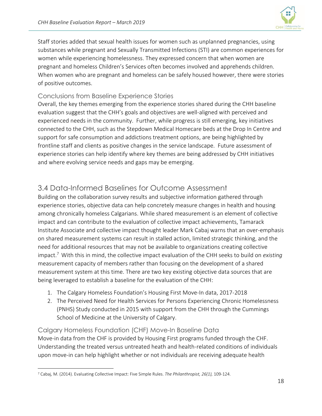

Staff stories added that sexual health issues for women such as unplanned pregnancies, using substances while pregnant and Sexually Transmitted Infections (STI) are common experiences for women while experiencing homelessness. They expressed concern that when women are pregnant and homeless Children's Services often becomes involved and apprehends children. When women who are pregnant and homeless can be safely housed however, there were stories of positive outcomes.

### Conclusions from Baseline Experience Stories

Overall, the key themes emerging from the experience stories shared during the CHH baseline evaluation suggest that the CHH's goals and objectives are well-aligned with perceived and experienced needs in the community. Further, while progress is still emerging, key initiatives connected to the CHH, such as the Stepdown Medical Homecare beds at the Drop In Centre and support for safe consumption and addictions treatment options, are being highlighted by frontline staff and clients as positive changes in the service landscape. Future assessment of experience stories can help identify where key themes are being addressed by CHH initiatives and where evolving service needs and gaps may be emerging.

# <span id="page-19-0"></span>3.4 Data-Informed Baselines for Outcome Assessment

Building on the collaboration survey results and subjective information gathered through experience stories, objective data can help concretely measure changes in health and housing among chronically homeless Calgarians. While shared measurement is an element of collective impact and can contribute to the evaluation of collective impact achievements, Tamarack Institute Associate and collective impact thought leader Mark Cabaj warns that an over-emphasis on shared measurement systems can result in stalled action, limited strategic thinking, and the need for additional resources that may not be available to organizations creating collective impact.<sup>7</sup> With this in mind, the collective impact evaluation of the CHH seeks to build on *existing* measurement capacity of members rather than focusing on the development of a shared measurement system at this time. There are two key existing objective data sources that are being leveraged to establish a baseline for the evaluation of the CHH:

- 1. The Calgary Homeless Foundation's Housing First Move-In data, 2017-2018
- 2. The Perceived Need for Health Services for Persons Experiencing Chronic Homelessness (PNHS) Study conducted in 2015 with support from the CHH through the Cummings School of Medicine at the University of Calgary.

### Calgary Homeless Foundation (CHF) Move-In Baseline Data Move-in data from the CHF is provided by Housing First programs funded through the CHF. Understanding the treated versus untreated heath and health-related conditions of individuals upon move-in can help highlight whether or not individuals are receiving adequate health

 $\overline{a}$ <sup>7</sup> Cabaj, M. (2014). Evaluating Collective Impact: Five Simple Rules. *The Philanthropist, 26(1),* 109-124.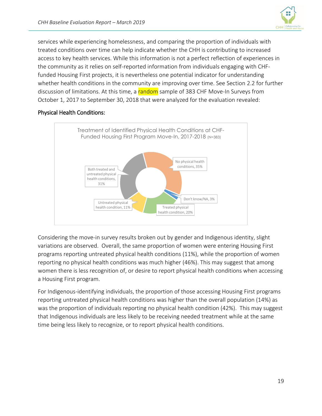

services while experiencing homelessness, and comparing the proportion of individuals with treated conditions over time can help indicate whether the CHH is contributing to increased access to key health services. While this information is not a perfect reflection of experiences in the community as it relies on self-reported information from individuals engaging with CHFfunded Housing First projects, it is nevertheless one potential indicator for understanding whether health conditions in the community are improving over time. See Section 2.2 for further discussion of limitations. At this time, a random sample of 383 CHF Move-In Surveys from October 1, 2017 to September 30, 2018 that were analyzed for the evaluation revealed:

### Physical Health Conditions:



Considering the move-in survey results broken out by gender and Indigenous identity, slight variations are observed. Overall, the same proportion of women were entering Housing First programs reporting untreated physical health conditions (11%), while the proportion of women reporting no physical health conditions was much higher (46%). This may suggest that among women there is less recognition of, or desire to report physical health conditions when accessing a Housing First program.

For Indigenous-identifying individuals, the proportion of those accessing Housing First programs reporting untreated physical health conditions was higher than the overall population (14%) as was the proportion of individuals reporting no physical health condition (42%). This may suggest that Indigenous individuals are less likely to be receiving needed treatment while at the same time being less likely to recognize, or to report physical health conditions.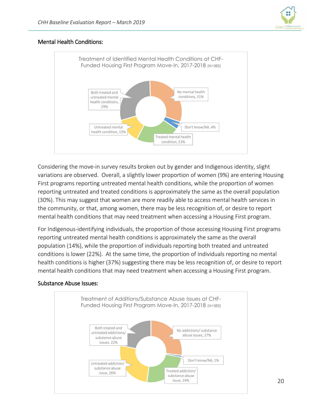

### Mental Health Conditions:



Considering the move-in survey results broken out by gender and Indigenous identity, slight variations are observed. Overall, a slightly lower proportion of women (9%) are entering Housing First programs reporting untreated mental health conditions, while the proportion of women reporting untreated and treated conditions is approximately the same as the overall population (30%). This may suggest that women are more readily able to access mental health services in the community, or that, among women, there may be less recognition of, or desire to report mental health conditions that may need treatment when accessing a Housing First program.

For Indigenous-identifying individuals, the proportion of those accessing Housing First programs reporting untreated mental health conditions is approximately the same as the overall population (14%), while the proportion of individuals reporting both treated and untreated conditions is lower (22%). At the same time, the proportion of individuals reporting no mental health conditions is higher (37%) suggesting there may be less recognition of, or desire to report mental health conditions that may need treatment when accessing a Housing First program.

### Substance Abuse Issues:

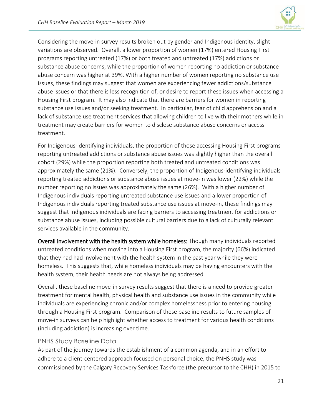

Considering the move-in survey results broken out by gender and Indigenous identity, slight variations are observed. Overall, a lower proportion of women (17%) entered Housing First programs reporting untreated (17%) or both treated and untreated (17%) addictions or substance abuse concerns, while the proportion of women reporting no addiction or substance abuse concern was higher at 39%. With a higher number of women reporting no substance use issues, these findings may suggest that women are experiencing fewer addictions/substance abuse issues or that there is less recognition of, or desire to report these issues when accessing a Housing First program. It may also indicate that there are barriers for women in reporting substance use issues and/or seeking treatment. In particular, fear of child apprehension and a lack of substance use treatment services that allowing children to live with their mothers while in treatment may create barriers for women to disclose substance abuse concerns or access treatment.

For Indigenous-identifying individuals, the proportion of those accessing Housing First programs reporting untreated addictions or substance abuse issues was slightly higher than the overall cohort (29%) while the proportion reporting both treated and untreated conditions was approximately the same (21%). Conversely, the proportion of Indigenous-identifying individuals reporting treated addictions or substance abuse issues at move-in was lower (22%) while the number reporting no issues was approximately the same (26%). With a higher number of Indigenous individuals reporting untreated substance use issues and a lower proportion of Indigenous individuals reporting treated substance use issues at move-in, these findings may suggest that Indigenous individuals are facing barriers to accessing treatment for addictions or substance abuse issues, including possible cultural barriers due to a lack of culturally relevant services available in the community.

Overall involvement with the health system while homeless: Though many individuals reported untreated conditions when moving into a Housing First program, the majority (66%) indicated that they had had involvement with the health system in the past year while they were homeless. This suggests that, while homeless individuals may be having encounters with the health system, their health needs are not always being addressed.

Overall, these baseline move-in survey results suggest that there is a need to provide greater treatment for mental health, physical health and substance use issues in the community while individuals are experiencing chronic and/or complex homelessness prior to entering housing through a Housing First program. Comparison of these baseline results to future samples of move-in surveys can help highlight whether access to treatment for various health conditions (including addiction) is increasing over time.

### PNHS Study Baseline Data

As part of the journey towards the establishment of a common agenda, and in an effort to adhere to a client-centered approach focused on personal choice, the PNHS study was commissioned by the Calgary Recovery Services Taskforce (the precursor to the CHH) in 2015 to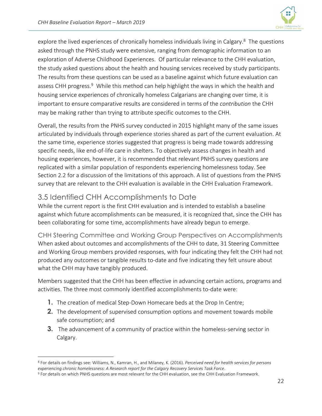

explore the lived experiences of chronically homeless individuals living in Calgary.<sup>8</sup> The questions asked through the PNHS study were extensive, ranging from demographic information to an exploration of Adverse Childhood Experiences. Of particular relevance to the CHH evaluation, the study asked questions about the health and housing services received by study participants. The results from these questions can be used as a baseline against which future evaluation can assess CHH progress.<sup>9</sup> While this method can help highlight the ways in which the health and housing service experiences of chronically homeless Calgarians are changing over time, it is important to ensure comparative results are considered in terms of the *contribution* the CHH may be making rather than trying to attribute specific outcomes to the CHH.

Overall, the results from the PNHS survey conducted in 2015 highlight many of the same issues articulated by individuals through experience stories shared as part of the current evaluation. At the same time, experience stories suggested that progress is being made towards addressing specific needs, like end-of-life care in shelters. To objectively assess changes in health and housing experiences, however, it is recommended that relevant PNHS survey questions are replicated with a similar population of respondents experiencing homelessness today. See Section 2.2 for a discussion of the limitations of this approach. A list of questions from the PNHS survey that are relevant to the CHH evaluation is available in the CHH Evaluation Framework.

# <span id="page-23-0"></span>3.5 Identified CHH Accomplishments to Date

While the current report is the first CHH evaluation and is intended to establish a baseline against which future accomplishments can be measured, it is recognized that, since the CHH has been collaborating for some time, accomplishments have already begun to emerge.

CHH Steering Committee and Working Group Perspectives on Accomplishments When asked about outcomes and accomplishments of the CHH to date, 31 Steering Committee and Working Group members provided responses, with four indicating they felt the CHH had not produced any outcomes or tangible results to-date and five indicating they felt unsure about what the CHH may have tangibly produced.

Members suggested that the CHH has been effective in advancing certain actions, programs and activities. The three most commonly identified accomplishments to-date were:

- **1.** The creation of medical Step-Down Homecare beds at the Drop In Centre;
- **2.** The development of supervised consumption options and movement towards mobile safe consumption; and
- **3.** The advancement of a community of practice within the homeless-serving sector in Calgary.

 $\overline{\phantom{a}}$ <sup>8</sup> For details on findings see: Williams, N., Kamran, H., and Milaney, K. (2016). *Perceived need for health services for persons experiencing chronic homelessness: A Research report for the Calgary Recovery Services Task Force*.

<sup>9</sup> For details on which PNHS questions are most relevant for the CHH evaluation, see the CHH Evaluation Framework.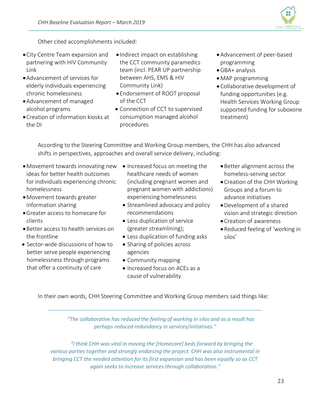

Other cited accomplishments included:

- •City Centre Team expansion and partnering with HIV Community Link
- •Advancement of services for elderly individuals experiencing chronic homelessness
- •Advancement of managed alcohol programs
- •Creation of information kiosks at the DI
- Indirect impact on establishing the CCT community paramedics team (incl. PEAR UP partnership between AHS, EMS & HIV Community Link)
- Endorsement of ROOT proposal of the CCT
- Connection of CCT to supervised consumption managed alcohol procedures
- •Advancement of peer-based programming
- •GBA+ analysis
- •MAP programming
- Collaborative development of funding opportunities (e.g. Health Services Working Group supported funding for suboxone treatment)

According to the Steering Committee and Working Group members, the CHH has also advanced shifts in perspectives, approaches and overall service delivery, including:

- •Movement towards innovating new Increased focus on meeting the ideas for better health outcomes for individuals experiencing chronic homelessness
- •Movement towards greater information sharing
- •Greater access to homecare for clients
- •Better access to health services on the frontline
- Sector-wide discussions of how to better serve people experiencing homelessness through programs that offer a continuity of care
- healthcare needs of women (including pregnant women and pregnant women with addictions) experiencing homelessness
- Streamlined advocacy and policy recommendations
- Less duplication of service (greater streamlining);
- Less duplication of funding asks
- Sharing of policies across agencies
- Community mapping
- Increased focus on ACEs as a cause of vulnerability
- •Better alignment across the homeless-serving sector
- •Creation of the CHH Working Groups and a forum to advance initiatives
- •Development of a shared vision and strategic direction
- •Creation of awareness
- •Reduced feeling of 'working in silos'

In their own words, CHH Steering Committee and Working Group members said things like:

*"The collaborative has reduced the feeling of working in silos and as a result has perhaps reduced redundancy in services/initiatives."*

*"I think CHH was vital in moving the [Homecare] beds forward by bringing the various parties together and strongly endorsing the project. CHH was also instrumental in bringing CCT the needed attention for its first expansion and has been equally so as CCT again seeks to increase services through collaboration."*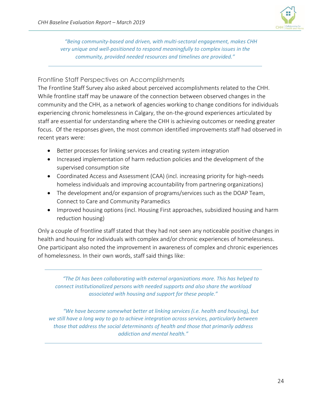

*"Being community-based and driven, with multi-sectoral engagement, makes CHH very unique and well-positioned to respond meaningfully to complex issues in the community, provided needed resources and timelines are provided."*

### Frontline Staff Perspectives on Accomplishments

The Frontline Staff Survey also asked about perceived accomplishments related to the CHH. While frontline staff may be unaware of the connection between observed changes in the community and the CHH, as a network of agencies working to change conditions for individuals experiencing chronic homelessness in Calgary, the on-the-ground experiences articulated by staff are essential for understanding where the CHH is achieving outcomes or needing greater focus. Of the responses given, the most common identified improvements staff had observed in recent years were:

- Better processes for linking services and creating system integration
- Increased implementation of harm reduction policies and the development of the supervised consumption site
- Coordinated Access and Assessment (CAA) (incl. increasing priority for high-needs homeless individuals and improving accountability from partnering organizations)
- The development and/or expansion of programs/services such as the DOAP Team, Connect to Care and Community Paramedics
- Improved housing options (incl. Housing First approaches, subsidized housing and harm reduction housing)

Only a couple of frontline staff stated that they had not seen any noticeable positive changes in health and housing for individuals with complex and/or chronic experiences of homelessness. One participant also noted the improvement in awareness of complex and chronic experiences of homelessness. In their own words, staff said things like:

*"The DI has been collaborating with external organizations more. This has helped to connect institutionalized persons with needed supports and also share the workload associated with housing and support for these people."*

*"We have become somewhat better at linking services (i.e. health and housing), but we still have a long way to go to achieve integration across services, particularly between those that address the social determinants of health and those that primarily address addiction and mental health."*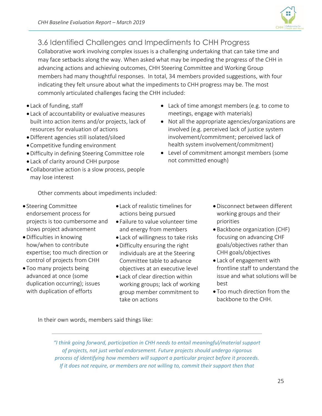

# <span id="page-26-0"></span>3.6 Identified Challenges and Impediments to CHH Progress

Collaborative work involving complex issues is a challenging undertaking that can take time and may face setbacks along the way. When asked what may be impeding the progress of the CHH in advancing actions and achieving outcomes, CHH Steering Committee and Working Group members had many thoughtful responses. In total, 34 members provided suggestions, with four indicating they felt unsure about what the impediments to CHH progress may be. The most commonly articulated challenges facing the CHH included:

- Lack of funding, staff
- Lack of accountability or evaluative measures built into action items and/or projects, lack of resources for evaluation of actions
- •Different agencies still isolated/siloed
- •Competitive funding environment
- •Difficulty in defining Steering Committee role
- Lack of clarity around CHH purpose
- •Collaborative action is a slow process, people may lose interest
- Lack of time amongst members (e.g. to come to meetings, engage with materials)
- Not all the appropriate agencies/organizations are involved (e.g. perceived lack of justice system involvement/commitment; perceived lack of health system involvement/commitment)
- Level of commitment amongst members (some not committed enough)

Other comments about impediments included:

- Steering Committee endorsement process for projects is too cumbersome and slows project advancement
- •Difficulties in knowing how/when to contribute expertise; too much direction or control of projects from CHH
- Too many projects being advanced at once (some duplication occurring); issues with duplication of efforts
- Lack of realistic timelines for actions being pursued
- Failure to value volunteer time and energy from members
- Lack of willingness to take risks
- •Difficulty ensuring the right individuals are at the Steering Committee table to advance objectives at an executive level
- Lack of clear direction within working groups; lack of working group member commitment to take on actions
- •Disconnect between different working groups and their priorities
- Backbone organization (CHF) focusing on advancing CHF goals/objectives rather than CHH goals/objectives
- Lack of engagement with frontline staff to understand the issue and what solutions will be best
- Too much direction from the backbone to the CHH.

In their own words, members said things like:

*"I think going forward, participation in CHH needs to entail meaningful/material support of projects, not just verbal endorsement. Future projects should undergo rigorous process of identifying how members will support a particular project before it proceeds. If it does not require, or members are not willing to, commit their support then that*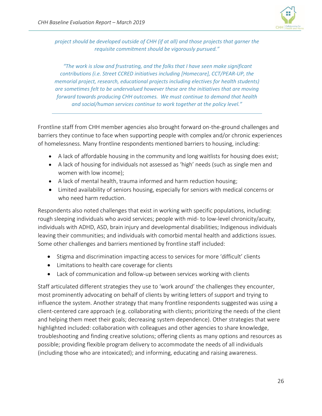

*project should be developed outside of CHH (if at all) and those projects that garner the requisite commitment should be vigorously pursued."*

*"The work is slow and frustrating, and the folks that I have seen make significant contributions (i.e. Street CCRED initiatives including [Homecare], CCT/PEAR-UP, the memorial project, research, educational projects including electives for health students) are sometimes felt to be undervalued however these are the initiatives that are moving forward towards producing CHH outcomes. We must continue to demand that health and social/human services continue to work together at the policy level."* 

Frontline staff from CHH member agencies also brought forward on-the-ground challenges and barriers they continue to face when supporting people with complex and/or chronic experiences of homelessness. Many frontline respondents mentioned barriers to housing, including:

- A lack of affordable housing in the community and long waitlists for housing does exist;
- A lack of housing for individuals not assessed as 'high' needs (such as single men and women with low income);
- A lack of mental health, trauma informed and harm reduction housing;
- Limited availability of seniors housing, especially for seniors with medical concerns or who need harm reduction.

Respondents also noted challenges that exist in working with specific populations, including: rough sleeping individuals who avoid services; people with mid- to low-level chronicity/acuity, individuals with ADHD, ASD, brain injury and developmental disabilities; Indigenous individuals leaving their communities; and individuals with comorbid mental health and addictions issues. Some other challenges and barriers mentioned by frontline staff included:

- Stigma and discrimination impacting access to services for more 'difficult' clients
- Limitations to health care coverage for clients
- Lack of communication and follow-up between services working with clients

Staff articulated different strategies they use to 'work around' the challenges they encounter, most prominently advocating on behalf of clients by writing letters of support and trying to influence the system. Another strategy that many frontline respondents suggested was using a client-centered care approach (e.g. collaborating with clients; prioritizing the needs of the client and helping them meet their goals; decreasing system dependence). Other strategies that were highlighted included: collaboration with colleagues and other agencies to share knowledge, troubleshooting and finding creative solutions; offering clients as many options and resources as possible; providing flexible program delivery to accommodate the needs of all individuals (including those who are intoxicated); and informing, educating and raising awareness.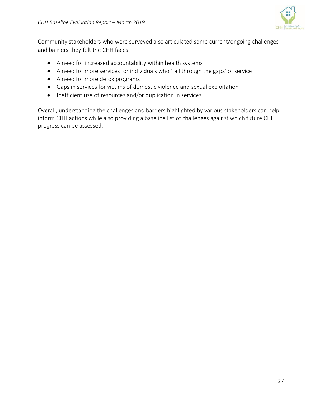

Community stakeholders who were surveyed also articulated some current/ongoing challenges and barriers they felt the CHH faces:

- A need for increased accountability within health systems
- A need for more services for individuals who 'fall through the gaps' of service
- A need for more detox programs
- Gaps in services for victims of domestic violence and sexual exploitation
- Inefficient use of resources and/or duplication in services

Overall, understanding the challenges and barriers highlighted by various stakeholders can help inform CHH actions while also providing a baseline list of challenges against which future CHH progress can be assessed.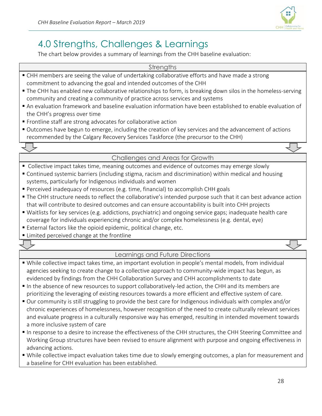

# <span id="page-29-0"></span>4.0 Strengths, Challenges & Learnings

The chart below provides a summary of learnings from the CHH baseline evaluation:

### **Strengths**

- CHH members are seeing the value of undertaking collaborative efforts and have made a strong commitment to advancing the goal and intended outcomes of the CHH
- The CHH has enabled new collaborative relationships to form, is breaking down silos in the homeless-serving community and creating a community of practice across services and systems
- An evaluation framework and baseline evaluation information have been established to enable evaluation of the CHH's progress over time
- Frontline staff are strong advocates for collaborative action
- Outcomes have begun to emerge, including the creation of key services and the advancement of actions recommended by the Calgary Recovery Services Taskforce (the precursor to the CHH)

### Challenges and Areas for Growth

- Collective impact takes time, meaning outcomes and evidence of outcomes may emerge slowly
- Continued systemic barriers (including stigma, racism and discrimination) within medical and housing systems, particularly for Indigenous individuals and women
- **Perceived inadequacy of resources (e.g. time, financial) to accomplish CHH goals**
- The CHH structure needs to reflect the collaborative's intended purpose such that it can best advance action that will contribute to desired outcomes and can ensure accountability is built into CHH projects
- Waitlists for key services (e.g. addictions, psychiatric) and ongoing service gaps; inadequate health care coverage for individuals experiencing chronic and/or complex homelessness (e.g. dental, eye)
- External factors like the opioid epidemic, political change, etc.
- Limited perceived change at the frontline

### Learnings and Future Directions

- While collective impact takes time, an important evolution in people's mental models, from individual agencies seeking to create change to a collective approach to community-wide impact has begun, as evidenced by findings from the CHH Collaboration Survey and CHH accomplishments to date
- In the absence of new resources to support collaboratively-led action, the CHH and its members are prioritizing the leveraging of existing resources towards a more efficient and effective system of care.
- Our community is still struggling to provide the best care for Indigenous individuals with complex and/or chronic experiences of homelessness, however recognition of the need to create culturally relevant services and evaluate progress in a culturally responsive way has emerged, resulting in intended movement towards a more inclusive system of care
- In response to a desire to increase the effectiveness of the CHH structures, the CHH Steering Committee and Working Group structures have been revised to ensure alignment with purpose and ongoing effectiveness in advancing actions.
- While collective impact evaluation takes time due to slowly emerging outcomes, a plan for measurement and a baseline for CHH evaluation has been established.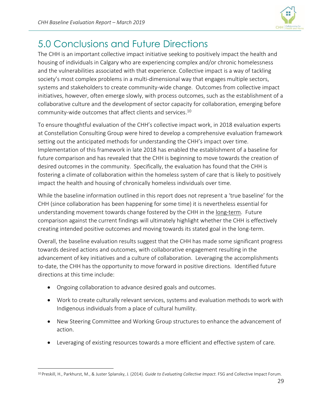

# <span id="page-30-0"></span>5.0 Conclusions and Future Directions

The CHH is an important collective impact initiative seeking to positively impact the health and housing of individuals in Calgary who are experiencing complex and/or chronic homelessness and the vulnerabilities associated with that experience. Collective impact is a way of tackling society's most complex problems in a multi-dimensional way that engages multiple sectors, systems and stakeholders to create community-wide change. Outcomes from collective impact initiatives, however, often emerge slowly, with process outcomes, such as the establishment of a collaborative culture and the development of sector capacity for collaboration, emerging before community-wide outcomes that affect clients and services. 10

To ensure thoughtful evaluation of the CHH's collective impact work, in 2018 evaluation experts at Constellation Consulting Group were hired to develop a comprehensive evaluation framework setting out the anticipated methods for understanding the CHH's impact over time. Implementation of this framework in late 2018 has enabled the establishment of a baseline for future comparison and has revealed that the CHH is beginning to move towards the creation of desired outcomes in the community. Specifically, the evaluation has found that the CHH is fostering a climate of collaboration within the homeless system of care that is likely to positively impact the health and housing of chronically homeless individuals over time.

While the baseline information outlined in this report does not represent a 'true baseline' for the CHH (since collaboration has been happening for some time) it is nevertheless essential for understanding movement towards change fostered by the CHH in the long-term. Future comparison against the current findings will ultimately highlight whether the CHH is effectively creating intended positive outcomes and moving towards its stated goal in the long-term.

Overall, the baseline evaluation results suggest that the CHH has made some significant progress towards desired actions and outcomes, with collaborative engagement resulting in the advancement of key initiatives and a culture of collaboration. Leveraging the accomplishments to-date, the CHH has the opportunity to move forward in positive directions. Identified future directions at this time include:

• Ongoing collaboration to advance desired goals and outcomes.

 $\overline{a}$ 

- Work to create culturally relevant services, systems and evaluation methods to work with Indigenous individuals from a place of cultural humility.
- New Steering Committee and Working Group structures to enhance the advancement of action.
- Leveraging of existing resources towards a more efficient and effective system of care.

<sup>10</sup> Preskill, H., Parkhurst, M., & Juster Splansky, J. (2014). *Guide to Evaluating Collective Impact.* FSG and Collective Impact Forum.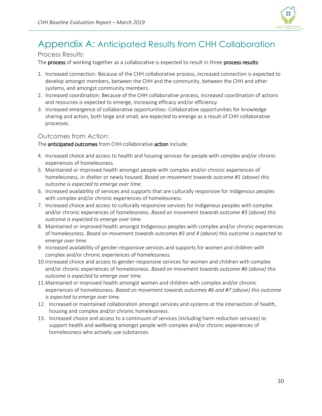

# <span id="page-31-0"></span>Appendix A: Anticipated Results from CHH Collaboration

### Process Results:

The **process** of working together as a collaborative is expected to result in three **process results**:

- 1. Increased connection: Because of the CHH collaborative process, increased connection is expected to develop amongst members, between the CHH and the community, between the CHH and other systems, and amongst community members.
- 2. Increased coordination: Because of the CHH collaborative process, increased coordination of actions and resources is expected to emerge, increasing efficacy and/or efficiency.
- 3. Increased emergence of collaborative opportunities: Collaborative opportunities for knowledge sharing and action, both large and small, are expected to emerge as a result of CHH collaborative processes.

### Outcomes from Action:

The anticipated outcomes from CHH collaborative action include:

- 4. Increased choice and access to health and housing services for people with complex and/or chronic experiences of homelessness.
- 5. Maintained or improved health amongst people with complex and/or chronic experiences of homelessness, in shelter or newly housed. *Based on movement towards outcome #1 (above) this outcome is expected to emerge over time.*
- 6. Increased availability of services and supports that are culturally responsive for Indigenous peoples with complex and/or chronic experiences of homelessness.
- 7. Increased choice and access to culturally responsive services for Indigenous peoples with complex and/or chronic experiences of homelessness. *Based on movement towards outcome #3 (above) this outcome is expected to emerge over time.*
- 8. Maintained or improved health amongst Indigenous peoples with complex and/or chronic experiences of homelessness. *Based on movement towards outcomes #3 and 4 (above) this outcome is expected to emerge over time.*
- 9. Increased availability of gender-responsive services and supports for women and children with complex and/or chronic experiences of homelessness.
- 10.Increased choice and access to gender-responsive services for women and children with complex and/or chronic experiences of homelessness. *Based on movement towards outcome #6 (above) this outcome is expected to emerge over time.*
- 11.Maintained or improved health amongst women and children with complex and/or chronic experiences of homelessness. *Based on movement towards outcomes #6 and #7 (above) this outcome is expected to emerge over time.*
- 12. Increased or maintained collaboration amongst services and systems at the intersection of health, housing and complex and/or chronic homelessness.
- 13. Increased choice and access to a continuum of services (including harm reduction services) to support health and wellbeing amongst people with complex and/or chronic experiences of homelessness who actively use substances.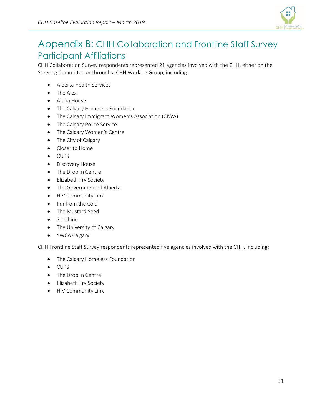

# <span id="page-32-0"></span>Appendix B: CHH Collaboration and Frontline Staff Survey Participant Affiliations

CHH Collaboration Survey respondents represented 21 agencies involved with the CHH, either on the Steering Committee or through a CHH Working Group, including:

- Alberta Health Services
- The Alex
- Alpha House
- The Calgary Homeless Foundation
- The Calgary Immigrant Women's Association (CIWA)
- The Calgary Police Service
- The Calgary Women's Centre
- The City of Calgary
- Closer to Home
- CUPS
- Discovery House
- The Drop In Centre
- Elizabeth Fry Society
- The Government of Alberta
- HIV Community Link
- Inn from the Cold
- The Mustard Seed
- Sonshine
- The University of Calgary
- YWCA Calgary

CHH Frontline Staff Survey respondents represented five agencies involved with the CHH, including:

- The Calgary Homeless Foundation
- CUPS
- The Drop In Centre
- Elizabeth Fry Society
- HIV Community Link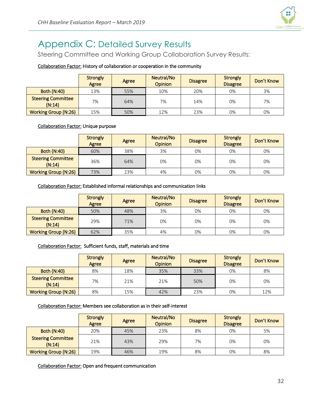

# <span id="page-33-0"></span>Appendix C: Detailed Survey Results

Steering Committee and Working Group Collaboration Survey Results:

### Collaboration Factor: History of collaboration or cooperation in the community

|                                     | <b>Strongly</b><br>Agree | Agree | Neutral/No<br><b>Opinion</b> | <b>Disagree</b> | <b>Strongly</b><br><b>Disagree</b> | Don't Know |
|-------------------------------------|--------------------------|-------|------------------------------|-----------------|------------------------------------|------------|
| <b>Both (N:40)</b>                  | 13%                      | 55%   | 10%                          | 20%             | 0%                                 | 3%         |
| <b>Steering Committee</b><br>(N:14) | 7%                       | 64%   | 7%                           | 14%             | 0%                                 | 7%         |
| <b>Working Group (N:26)</b>         | 15%                      | 50%   | 12%                          | 23%             | 0%                                 | 0%         |

Collaboration Factor: Unique purpose

|                                     | <b>Strongly</b><br>Agree | Agree | Neutral/No<br><b>Opinion</b> | <b>Disagree</b> | <b>Strongly</b><br><b>Disagree</b> | Don't Know |
|-------------------------------------|--------------------------|-------|------------------------------|-----------------|------------------------------------|------------|
| <b>Both (N:40)</b>                  | 60%                      | 38%   | 3%                           | 0%              | 0%                                 | 0%         |
| <b>Steering Committee</b><br>(N:14) | 36%                      | 64%   | 0%                           | 0%              | 0%                                 | 0%         |
| <b>Working Group (N:26)</b>         | 73%                      | 23%   | 4%                           | 0%              | 0%                                 | 0%         |

Collaboration Factor: Established informal relationships and communication links

|                                     | <b>Strongly</b><br>Agree | Agree | Neutral/No<br><b>Opinion</b> | <b>Disagree</b> | <b>Strongly</b><br><b>Disagree</b> | Don't Know |
|-------------------------------------|--------------------------|-------|------------------------------|-----------------|------------------------------------|------------|
| <b>Both (N:40)</b>                  | 50%                      | 48%   | 3%                           | 0%              | 0%                                 | 0%         |
| <b>Steering Committee</b><br>(N:14) | 29%                      | 71%   | 0%                           | 0%              | 0%                                 | 0%         |
| <b>Working Group (N:26)</b>         | 62%                      | 35%   | 4%                           | 0%              | 0%                                 | 0%         |

### Collaboration Factor: Sufficient funds, staff, materials and time

|                                     | <b>Strongly</b><br>Agree | Agree | Neutral/No<br><b>Opinion</b> | <b>Disagree</b> | Strongly<br><b>Disagree</b> | Don't Know |
|-------------------------------------|--------------------------|-------|------------------------------|-----------------|-----------------------------|------------|
| <b>Both (N:40)</b>                  | 8%                       | 18%   | 35%                          | 33%             | 0%                          | 8%         |
| <b>Steering Committee</b><br>(N:14) | 7%                       | 21%   | 21%                          | 50%             | 0%                          | 0%         |
| <b>Working Group (N:26)</b>         | 8%                       | 15%   | 42%                          | 23%             | 0%                          | 12%        |

Collaboration Factor: Members see collaboration as in their self-interest

|                                     | <b>Strongly</b><br>Agree | Agree | Neutral/No<br><b>Opinion</b> | <b>Disagree</b> | <b>Strongly</b><br><b>Disagree</b> | Don't Know |
|-------------------------------------|--------------------------|-------|------------------------------|-----------------|------------------------------------|------------|
| <b>Both (N:40)</b>                  | 20%                      | 45%   | 23%                          | 8%              | 0%                                 | 5%         |
| <b>Steering Committee</b><br>(N:14) | 21%                      | 43%   | 29%                          | 7%              | 0%                                 | 0%         |
| <b>Working Group (N:26)</b>         | 19%                      | 46%   | 19%                          | 8%              | 0%                                 | 8%         |

Collaboration Factor: Open and frequent communication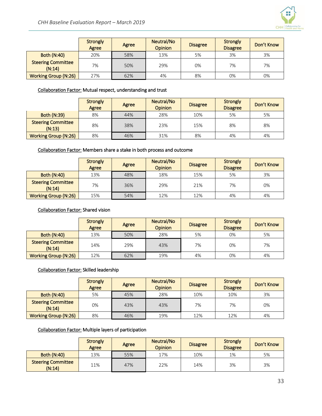

|                                     | <b>Strongly</b><br>Agree | Agree | Neutral/No<br><b>Opinion</b> | <b>Disagree</b> | <b>Strongly</b><br><b>Disagree</b> | Don't Know |
|-------------------------------------|--------------------------|-------|------------------------------|-----------------|------------------------------------|------------|
| <b>Both (N:40)</b>                  | 20%                      | 58%   | 13%                          | 5%              | 3%                                 | 3%         |
| <b>Steering Committee</b><br>(N:14) | 7%                       | 50%   | 29%                          | 0%              | 7%                                 | 7%         |
| <b>Working Group (N:26)</b>         | 27%                      | 62%   | 4%                           | 8%              | 0%                                 | 0%         |

### Collaboration Factor: Mutual respect, understanding and trust

|                                     | <b>Strongly</b><br>Agree | Agree | Neutral/No<br><b>Opinion</b> | <b>Disagree</b> | Strongly<br><b>Disagree</b> | Don't Know |
|-------------------------------------|--------------------------|-------|------------------------------|-----------------|-----------------------------|------------|
| <b>Both (N:39)</b>                  | 8%                       | 44%   | 28%                          | 10%             | 5%                          | 5%         |
| <b>Steering Committee</b><br>(N:13) | 8%                       | 38%   | 23%                          | 15%             | 8%                          | 8%         |
| <b>Working Group (N:26)</b>         | 8%                       | 46%   | 31%                          | 8%              | 4%                          | 4%         |

#### Collaboration Factor: Members share a stake in both process and outcome

|                                     | <b>Strongly</b><br>Agree | Agree | Neutral/No<br><b>Opinion</b> | <b>Disagree</b> | Strongly<br><b>Disagree</b> | Don't Know |
|-------------------------------------|--------------------------|-------|------------------------------|-----------------|-----------------------------|------------|
| <b>Both (N:40)</b>                  | 13%                      | 48%   | 18%                          | 15%             | 5%                          | 3%         |
| <b>Steering Committee</b><br>(N:14) | 7%                       | 36%   | 29%                          | 21%             | 7%                          | 0%         |
| <b>Working Group (N:26)</b>         | 15%                      | 54%   | 12%                          | 12%             | 4%                          | 4%         |

#### Collaboration Factor: Shared vision

|                                     | <b>Strongly</b><br>Agree | Agree | Neutral/No<br><b>Opinion</b> | <b>Disagree</b> | <b>Strongly</b><br><b>Disagree</b> | Don't Know |
|-------------------------------------|--------------------------|-------|------------------------------|-----------------|------------------------------------|------------|
| <b>Both (N:40)</b>                  | 13%                      | 50%   | 28%                          | 5%              | 0%                                 | 5%         |
| <b>Steering Committee</b><br>(N:14) | 14%                      | 29%   | 43%                          | 7%              | 0%                                 | 7%         |
| <b>Working Group (N:26)</b>         | 12%                      | 62%   | 19%                          | 4%              | 0%                                 | 4%         |

#### Collaboration Factor: Skilled leadership

|                                     | <b>Strongly</b><br>Agree | Agree | Neutral/No<br><b>Opinion</b> | <b>Disagree</b> | <b>Strongly</b><br><b>Disagree</b> | Don't Know |
|-------------------------------------|--------------------------|-------|------------------------------|-----------------|------------------------------------|------------|
| <b>Both (N:40)</b>                  | 5%                       | 45%   | 28%                          | 10%             | 10%                                | 3%         |
| <b>Steering Committee</b><br>(N:14) | 0%                       | 43%   | 43%                          | 7%              | 7%                                 | 0%         |
| <b>Working Group (N:26)</b>         | 8%                       | 46%   | 19%                          | 12%             | 12%                                | 4%         |

### Collaboration Factor: Multiple layers of participation

|                                     | <b>Strongly</b><br>Agree | Agree | Neutral/No<br><b>Opinion</b> | <b>Disagree</b> | Strongly<br><b>Disagree</b> | Don't Know |
|-------------------------------------|--------------------------|-------|------------------------------|-----------------|-----------------------------|------------|
| <b>Both (N:40)</b>                  | 13%                      | 55%   | 17%                          | 10%             | 1%                          | 5%         |
| <b>Steering Committee</b><br>(N:14) | 11%                      | 47%   | 22%                          | 14%             | 3%                          | 3%         |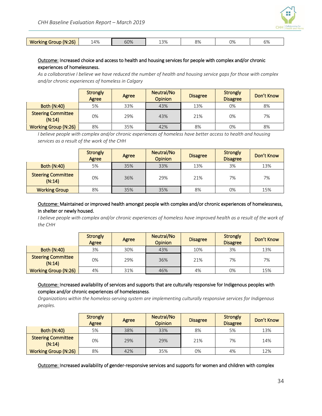

| (N:26)<br><b>Working</b><br>Group | .4% | 60% | 13% | OO<br>O / C | 0% | O 70 |
|-----------------------------------|-----|-----|-----|-------------|----|------|
|                                   |     |     |     |             |    |      |

#### Outcome: Increased choice and access to health and housing services for people with complex and/or chronic experiences of homelessness.

*As a collaborative I believe we have reduced the number of health and housing service gaps for those with complex and/or chronic experiences of homeless in Calgary*

|                                     | <b>Strongly</b><br>Agree | Agree | Neutral/No<br><b>Opinion</b> | <b>Disagree</b> | <b>Strongly</b><br><b>Disagree</b> | Don't Know |
|-------------------------------------|--------------------------|-------|------------------------------|-----------------|------------------------------------|------------|
| <b>Both (N:40)</b>                  | 5%                       | 33%   | 43%                          | 13%             | 0%                                 | 8%         |
| <b>Steering Committee</b><br>(N:14) | 0%                       | 29%   | 43%                          | 21%             | 0%                                 | 7%         |
| <b>Working Group (N:26)</b>         | 8%                       | 35%   | 42%                          | 8%              | 0%                                 | 8%         |

*I believe people with complex and/or chronic experiences of homeless have better access to health and housing services as a result of the work of the CHH*

|                                     | <b>Strongly</b><br>Agree | Agree | Neutral/No<br><b>Opinion</b> | <b>Disagree</b> | <b>Strongly</b><br><b>Disagree</b> | Don't Know |
|-------------------------------------|--------------------------|-------|------------------------------|-----------------|------------------------------------|------------|
| <b>Both (N:40)</b>                  | 5%                       | 35%   | 33%                          | 13%             | 3%                                 | 13%        |
| <b>Steering Committee</b><br>(N:14) | 0%                       | 36%   | 29%                          | 21%             | 7%                                 | 7%         |
| <b>Working Group</b>                | 8%                       | 35%   | 35%                          | 8%              | 0%                                 | 15%        |

#### Outcome: Maintained or improved health amongst people with complex and/or chronic experiences of homelessness, in shelter or newly housed.

*I believe people with complex and/or chronic experiences of homeless have improved health as a result of the work of the CHH*

|                                     | <b>Strongly</b><br>Agree | Agree | Neutral/No<br><b>Opinion</b> | <b>Disagree</b> | Strongly<br><b>Disagree</b> | Don't Know |
|-------------------------------------|--------------------------|-------|------------------------------|-----------------|-----------------------------|------------|
| <b>Both (N:40)</b>                  | 3%                       | 30%   | 43%                          | 10%             | 3%                          | 13%        |
| <b>Steering Committee</b><br>(N:14) | 0%                       | 29%   | 36%                          | 21%             | 7%                          | 7%         |
| <b>Working Group (N:26)</b>         | 4%                       | 31%   | 46%                          | 4%              | 0%                          | 15%        |

#### Outcome: Increased availability of services and supports that are culturally responsive for Indigenous peoples with complex and/or chronic experiences of homelessness.

*Organizations within the homeless-serving system are implementing culturally responsive services for Indigenous peoples.*

|                                     | <b>Strongly</b><br>Agree | Agree | Neutral/No<br><b>Opinion</b> | <b>Disagree</b> | <b>Strongly</b><br><b>Disagree</b> | Don't Know |
|-------------------------------------|--------------------------|-------|------------------------------|-----------------|------------------------------------|------------|
| <b>Both (N:40)</b>                  | 5%                       | 38%   | 33%                          | 8%              | 5%                                 | 13%        |
| <b>Steering Committee</b><br>(N:14) | 0%                       | 29%   | 29%                          | 21%             | 7%                                 | 14%        |
| <b>Working Group (N:26)</b>         | 8%                       | 42%   | 35%                          | 0%              | 4%                                 | 12%        |

Outcome: Increased availability of gender-responsive services and supports for women and children with complex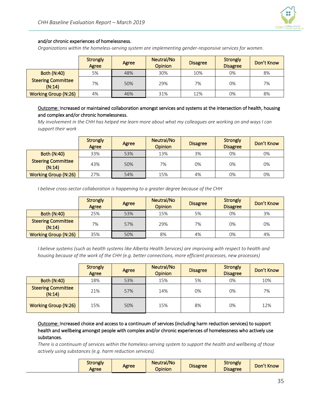#### and/or chronic experiences of homelessness.

*Organizations within the homeless-serving system are implementing gender-responsive services for women.*

|                                     | <b>Strongly</b><br>Agree | Agree | Neutral/No<br><b>Opinion</b> | <b>Disagree</b> | <b>Strongly</b><br><b>Disagree</b> | Don't Know |
|-------------------------------------|--------------------------|-------|------------------------------|-----------------|------------------------------------|------------|
| <b>Both (N:40)</b>                  | 5%                       | 48%   | 30%                          | 10%             | 0%                                 | 8%         |
| <b>Steering Committee</b><br>(N:14) | 7%                       | 50%   | 29%                          | 7%              | 0%                                 | 7%         |
| <b>Working Group (N:26)</b>         | 4%                       | 46%   | 31%                          | 12%             | 0%                                 | 8%         |

#### Outcome: Increased or maintained collaboration amongst services and systems at the intersection of health, housing and complex and/or chronic homelessness.

*My involvement in the CHH has helped me learn more about what my colleagues are working on and ways I can support their work*

|                                     | <b>Strongly</b><br>Agree | Agree | Neutral/No<br><b>Opinion</b> | <b>Disagree</b> | <b>Strongly</b><br><b>Disagree</b> | Don't Know |
|-------------------------------------|--------------------------|-------|------------------------------|-----------------|------------------------------------|------------|
| <b>Both (N:40)</b>                  | 33%                      | 53%   | 13%                          | 3%              | 0%                                 | 0%         |
| <b>Steering Committee</b><br>(N:14) | 43%                      | 50%   | 7%                           | 0%              | 0%                                 | 0%         |
| <b>Working Group (N:26)</b>         | 27%                      | 54%   | 15%                          | 4%              | 0%                                 | 0%         |

*I believe cross-sector collaboration is happening to a greater degree because of the CHH*

|                                     | <b>Strongly</b><br>Agree | Agree | Neutral/No<br><b>Opinion</b> | <b>Disagree</b> | <b>Strongly</b><br><b>Disagree</b> | Don't Know |
|-------------------------------------|--------------------------|-------|------------------------------|-----------------|------------------------------------|------------|
| <b>Both (N:40)</b>                  | 25%                      | 53%   | 15%                          | 5%              | 0%                                 | 3%         |
| <b>Steering Committee</b><br>(N:14) | 7%                       | 57%   | 29%                          | 7%              | 0%                                 | 0%         |
| <b>Working Group (N:26)</b>         | 35%                      | 50%   | 8%                           | 4%              | 0%                                 | 4%         |

*I believe systems (such as health systems like Alberta Health Services) are improving with respect to health and housing because of the work of the CHH (e.g. better connections, more efficient processes, new processes)*

|                                     | <b>Strongly</b><br>Agree | Agree | Neutral/No<br><b>Opinion</b> | <b>Disagree</b> | <b>Strongly</b><br><b>Disagree</b> | Don't Know |
|-------------------------------------|--------------------------|-------|------------------------------|-----------------|------------------------------------|------------|
| <b>Both (N:40)</b>                  | 18%                      | 53%   | 15%                          | 5%              | 0%                                 | 10%        |
| <b>Steering Committee</b><br>(N:14) | 21%                      | 57%   | 14%                          | 0%              | 0%                                 | 7%         |
| <b>Working Group (N:26)</b>         | 15%                      | 50%   | 15%                          | 8%              | 0%                                 | 12%        |

Outcome: Increased choice and access to a continuum of services (including harm reduction services) to support health and wellbeing amongst people with complex and/or chronic experiences of homelessness who actively use substances.

*There is a continuum of services within the homeless-serving system to support the health and wellbeing of those actively using substances (e.g. harm reduction services).*

| <b>Strongly</b><br>Agree | Agree | <b>Neutral/No</b><br><b>Opinion</b> | <b>Disagree</b> | <b>Strongly</b><br><b>Disagree</b> | Don't Know |
|--------------------------|-------|-------------------------------------|-----------------|------------------------------------|------------|
|--------------------------|-------|-------------------------------------|-----------------|------------------------------------|------------|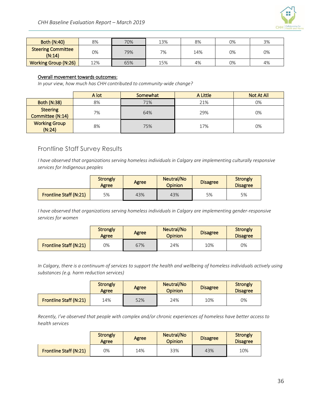

| <b>Both (N:40)</b>                  | 8%  | 70% | 13% | 8%  | 0% | 3% |
|-------------------------------------|-----|-----|-----|-----|----|----|
| <b>Steering Committee</b><br>(N:14) | 0%  | 79% | 7%  | 14% | 0% | 0% |
| <b>Working Group (N:26)</b>         | 12% | 65% | 15% | 4%  | 0% | 4% |

#### Overall movement towards outcomes:

*In your view, how much has CHH contributed to community-wide change?*

|                                     | A lot | Somewhat | A Little | Not At All |
|-------------------------------------|-------|----------|----------|------------|
| <b>Both (N:38)</b>                  | 8%    | 71%      | 21%      | 0%         |
| <b>Steering</b><br>Committee (N:14) | 7%    | 64%      | 29%      | 0%         |
| <b>Working Group</b><br>(N:24)      | 8%    | 75%      | 17%      | 0%         |

### Frontline Staff Survey Results

*I have observed that organizations serving homeless individuals in Calgary are implementing culturally responsive services for Indigenous peoples*

|                        | <b>Strongly</b><br>Agree | Agree | Neutral/No<br><b>Opinion</b> | <b>Disagree</b> | <b>Strongly</b><br><b>Disagree</b> |
|------------------------|--------------------------|-------|------------------------------|-----------------|------------------------------------|
| Frontline Staff (N:21) | 5%                       | 43%   | 43%                          | 5%              | 5%                                 |

*I have observed that organizations serving homeless individuals in Calgary are implementing gender-responsive services for women*

|                               | <b>Strongly</b><br>Agree | Agree | Neutral/No<br><b>Opinion</b> | <b>Disagree</b> | Strongly<br><b>Disagree</b> |
|-------------------------------|--------------------------|-------|------------------------------|-----------------|-----------------------------|
| <b>Frontline Staff (N:21)</b> | 0%                       | 67%   | 24%                          | 10%             | 0%                          |

*In Calgary, there is a continuum of services to support the health and wellbeing of homeless individuals actively using substances (e.g. harm reduction services)*

|                        | <b>Strongly</b><br>Agree | Agree | Neutral/No<br>Opinion | <b>Disagree</b> | Strongly<br><b>Disagree</b> |
|------------------------|--------------------------|-------|-----------------------|-----------------|-----------------------------|
| Frontline Staff (N:21) | 14%                      | 52%   | 24%                   | 10%             | 0%                          |

*Recently, I've observed that people with complex and/or chronic experiences of homeless have better access to health services*

|                               | <b>Strongly</b><br>Agree | Agree | Neutral/No<br>Opinion | <b>Disagree</b> | Strongly<br><b>Disagree</b> |
|-------------------------------|--------------------------|-------|-----------------------|-----------------|-----------------------------|
| <b>Frontline Staff (N:21)</b> | 0%                       | 14%   | 33%                   | 43%             | 10%                         |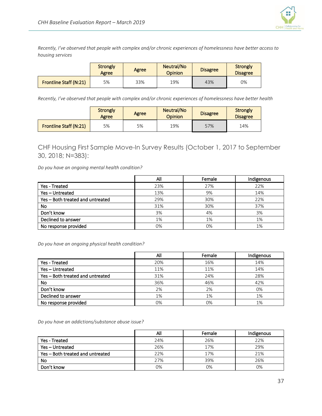

*Recently, I've observed that people with complex and/or chronic experiences of homelessness have better access to housing services*

|                        | <b>Strongly</b><br>Agree | Agree | Neutral/No<br>Opinion | <b>Disagree</b> | Strongly<br><b>Disagree</b> |
|------------------------|--------------------------|-------|-----------------------|-----------------|-----------------------------|
| Frontline Staff (N:21) | 5%                       | 33%   | 19%                   | 43%             | 0%                          |

*Recently, I've observed that people with complex and/or chronic experiences of homelessness have better health*

|                        | <b>Strongly</b><br>Agree | Agree | Neutral/No<br>Opinion | <b>Disagree</b> | <b>Strongly</b><br><b>Disagree</b> |
|------------------------|--------------------------|-------|-----------------------|-----------------|------------------------------------|
| Frontline Staff (N:21) | 5%                       | 5%    | 19%                   | 57%             | 14%                                |

CHF Housing First Sample Move-In Survey Results (October 1, 2017 to September 30, 2018; N=383):

*Do you have an ongoing mental health condition?* 

|                                  | All | Female | Indigenous |
|----------------------------------|-----|--------|------------|
| Yes - Treated                    | 23% | 27%    | 22%        |
| Yes-Untreated                    | 13% | 9%     | 14%        |
| Yes - Both treated and untreated | 29% | 30%    | 22%        |
| <b>No</b>                        | 31% | 30%    | 37%        |
| Don't know                       | 3%  | 4%     | 3%         |
| Declined to answer               | 1%  | 1%     | 1%         |
| No response provided             | 0%  | 0%     | 1%         |

*Do you have an ongoing physical health condition?* 

|                                  | All | Female | Indigenous |
|----------------------------------|-----|--------|------------|
| Yes - Treated                    | 20% | 16%    | 14%        |
| Yes-Untreated                    | 11% | 11%    | 14%        |
| Yes - Both treated and untreated | 31% | 24%    | 28%        |
| <b>No</b>                        | 36% | 46%    | 42%        |
| Don't know                       | 2%  | 2%     | 0%         |
| Declined to answer               | 1%  | 1%     | 1%         |
| No response provided             | 0%  | 0%     | 1%         |

*Do you have an addictions/substance abuse issue?* 

|                                  | Αll | Female | Indigenous |
|----------------------------------|-----|--------|------------|
| Yes - Treated                    | 24% | 26%    | 22%        |
| Yes-Untreated                    | 26% | 17%    | 29%        |
| Yes - Both treated and untreated | 22% | 17%    | 21%        |
| No                               | 27% | 39%    | 26%        |
| Don't know                       | 0%  | 0%     | 0%         |